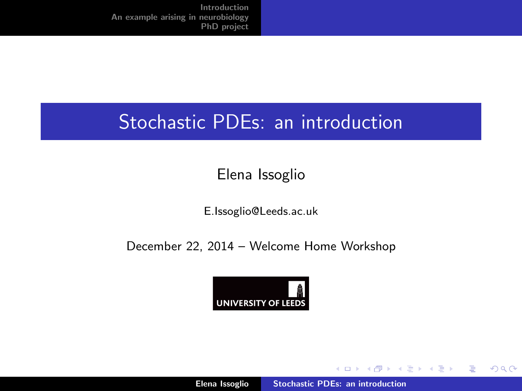## <span id="page-0-0"></span>Stochastic PDEs: an introduction

## Elena Issoglio

E.Issoglio@Leeds.ac.uk

December 22, 2014 – Welcome Home Workshop



メロメ メ御き メミメ メミメー

 $2Q$ 

目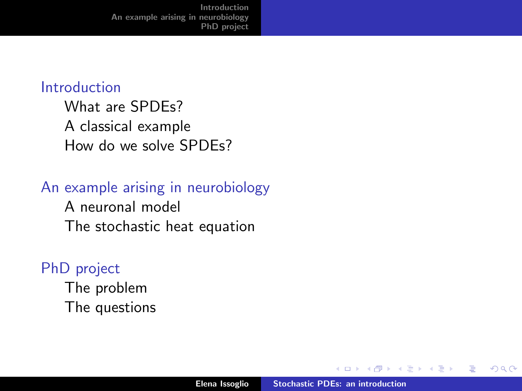#### [Introduction](#page-2-0)

[What are SPDEs?](#page-3-0) [A classical example](#page-6-0) [How do we solve SPDEs?](#page-9-0)

#### [An example arising in neurobiology](#page-11-0)

[A neuronal model](#page-12-0) [The stochastic heat equation](#page-16-0)

### [PhD project](#page-21-0)

[The problem](#page-22-0) [The questions](#page-25-0)

 $\leftarrow$ 

三

つくい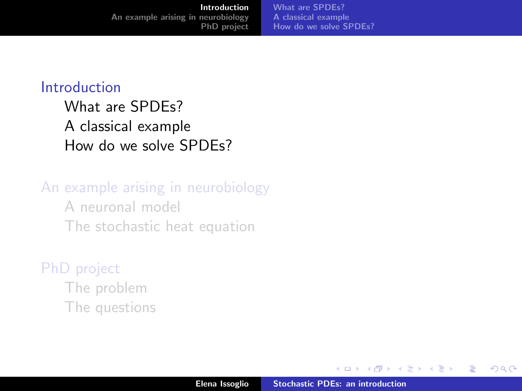<span id="page-2-0"></span>[Introduction](#page-2-0) [An example arising in neurobiology](#page-11-0) [PhD project](#page-21-0) [What are SPDEs?](#page-3-0) [A classical example](#page-6-0) [How do we solve SPDEs?](#page-9-0)

#### [Introduction](#page-2-0)

[What are SPDEs?](#page-3-0) [A classical example](#page-6-0) [How do we solve SPDEs?](#page-9-0)

#### [An example arising in neurobiology](#page-11-0)

[A neuronal model](#page-12-0) [The stochastic heat equation](#page-16-0)

#### [PhD project](#page-21-0)

[The problem](#page-22-0) [The questions](#page-25-0)

 $4.17 \times$ 

 $\leftarrow$   $\overline{m}$   $\rightarrow$ 

 $\rightarrow$   $\pm$   $\rightarrow$ **A E**  つくい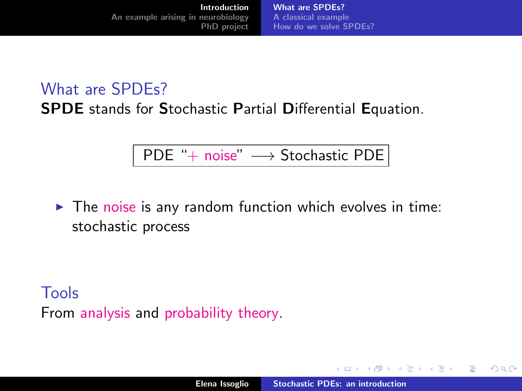<span id="page-3-0"></span>What are SPDEs? SPDE stands for Stochastic Partial Differential Equation.

PDE "+ noise" → Stochastic PDE

 $\blacktriangleright$  The noise is any random function which evolves in time: stochastic process

Tools From analysis and probability theory.

イロト イ母 トイラト イラト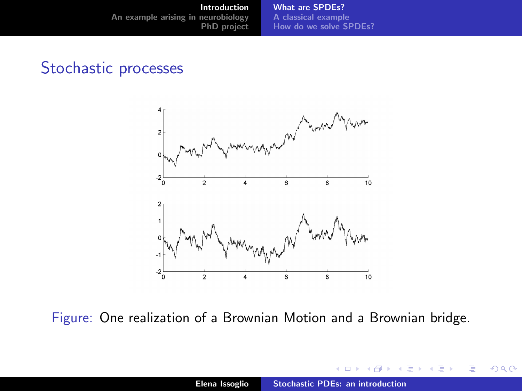#### Stochastic processes



Figure: One realization of a Brownian Motion and a Brownian bridge.

 $4.17 \times$ 

 $\leftarrow$   $\leftarrow$   $\leftarrow$ **A** B K (人 語 )

 $2Q$ 

≣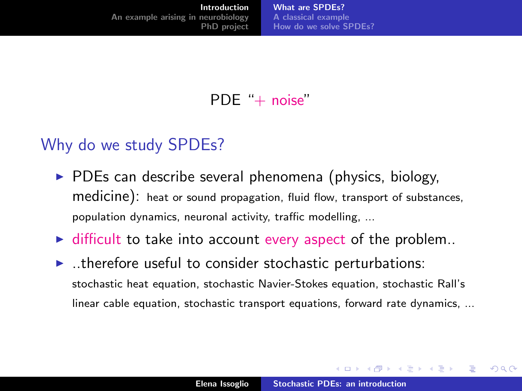PDE "+ noise"

#### Why do we study SPDEs?

- $\triangleright$  PDEs can describe several phenomena (physics, biology, medicine): heat or sound propagation, fluid flow, transport of substances, population dynamics, neuronal activity, traffic modelling, ...
- $\blacktriangleright$  difficult to take into account every aspect of the problem..
- $\blacktriangleright$  ..therefore useful to consider stochastic perturbations: stochastic heat equation, stochastic Navier-Stokes equation, stochastic Rall's linear cable equation, stochastic transport equations, forward rate dynamics, ...

イロメ イ部メ イヨメ イヨメー

つくい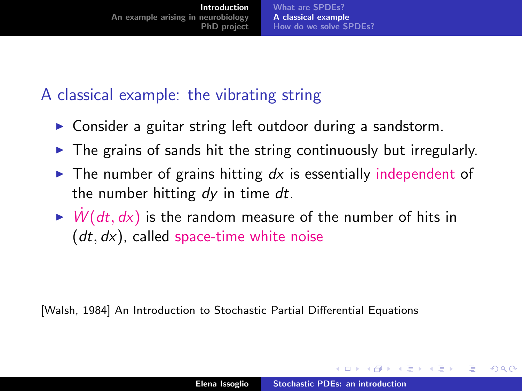## <span id="page-6-0"></span>A classical example: the vibrating string

- $\triangleright$  Consider a guitar string left outdoor during a sandstorm.
- $\triangleright$  The grains of sands hit the string continuously but irregularly.
- $\triangleright$  The number of grains hitting dx is essentially independent of the number hitting  $dy$  in time  $dt$ .
- $\triangleright$  W(dt, dx) is the random measure of the number of hits in  $(dt, dx)$ , called space-time white noise

[Walsh, 1984] An Introduction to Stochastic Partial Differential Equations

イロメ マ桐 メラミンマチャ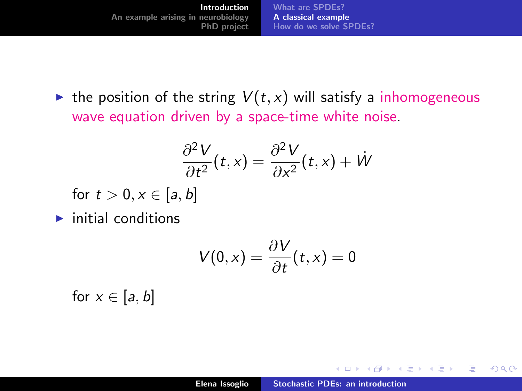In the position of the string  $V(t, x)$  will satisfy a inhomogeneous wave equation driven by a space-time white noise.

$$
\frac{\partial^2 V}{\partial t^2}(t,x) = \frac{\partial^2 V}{\partial x^2}(t,x) + W
$$

for  $t > 0, x \in [a, b]$ 

 $\blacktriangleright$  initial conditions

$$
V(0,x)=\frac{\partial V}{\partial t}(t,x)=0
$$

for  $x \in [a, b]$ 

 $4.17 \times$ 

4 A F

**ALCOHOL:** 

- 4 E F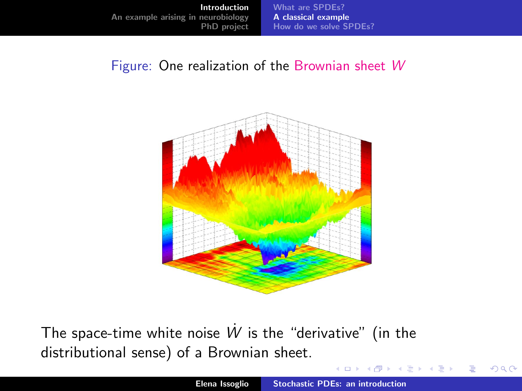#### Figure: One realization of the Brownian sheet W



The space-time white noise  $\dot{W}$  is the "derivative" (in the distributional sense) of a Brownian sheet.

K ロ ▶ K 倒 ▶

 $\Omega$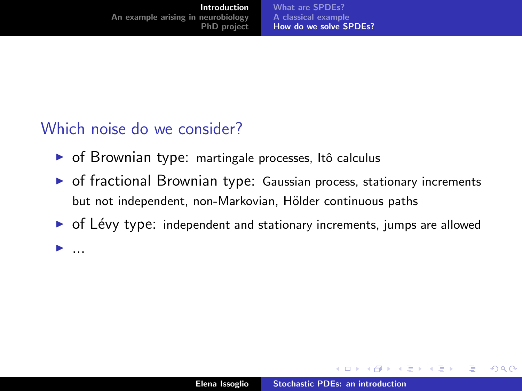<span id="page-9-0"></span>[Introduction](#page-2-0) [An example arising in neurobiology](#page-11-0) [PhD project](#page-21-0)

[What are SPDEs?](#page-3-0) [A classical example](#page-6-0) [How do we solve SPDEs?](#page-9-0)

## Which noise do we consider?

 $\blacktriangleright$  ...

- ▶ of Brownian type: martingale processes, Itô calculus
- $\triangleright$  of fractional Brownian type: Gaussian process, stationary increments but not independent, non-Markovian, Hölder continuous paths
- $\triangleright$  of Lévy type: independent and stationary increments, jumps are allowed

K ロ ⊁ K 倒 ≯ K ミ ⊁ K ミ ⊁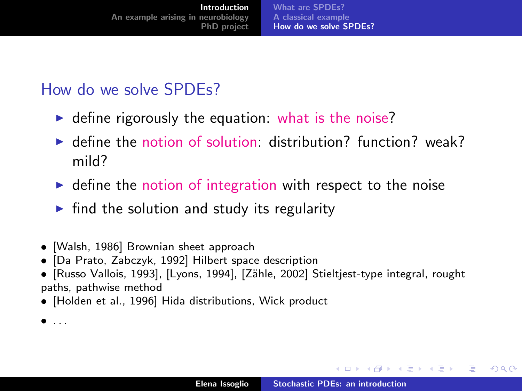### How do we solve SPDEs?

- $\triangleright$  define rigorously the equation: what is the noise?
- $\blacktriangleright$  define the notion of solution: distribution? function? weak? mild?
- $\triangleright$  define the notion of integration with respect to the noise
- $\triangleright$  find the solution and study its regularity
- [Walsh, 1986] Brownian sheet approach
- [Da Prato, Zabczyk, 1992] Hilbert space description
- [Russo Vallois, 1993], [Lyons, 1994], [Z¨ahle, 2002] Stieltjest-type integral, rought paths, pathwise method
- [Holden et al., 1996] Hida distributions, Wick product

 $\bullet$  ...

メロメ メ御 メメ きょ メモメ

つくい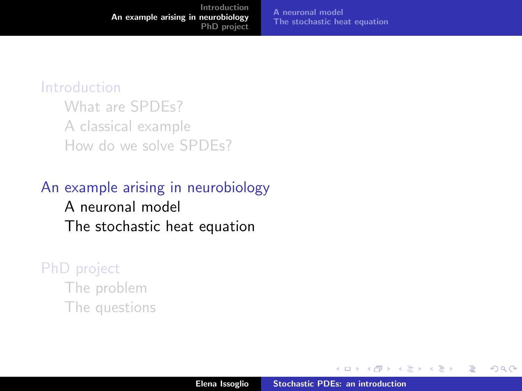#### <span id="page-11-0"></span>[Introduction](#page-2-0)

[What are SPDEs?](#page-3-0) [A classical example](#page-6-0) [How do we solve SPDEs?](#page-9-0)

## [An example arising in neurobiology](#page-11-0) [A neuronal model](#page-12-0) [The stochastic heat equation](#page-16-0)

#### [PhD project](#page-21-0)

[The problem](#page-22-0) [The questions](#page-25-0)

a mills.

 $\leftarrow$   $\leftarrow$   $\leftarrow$ 

→ 差 → → 差 →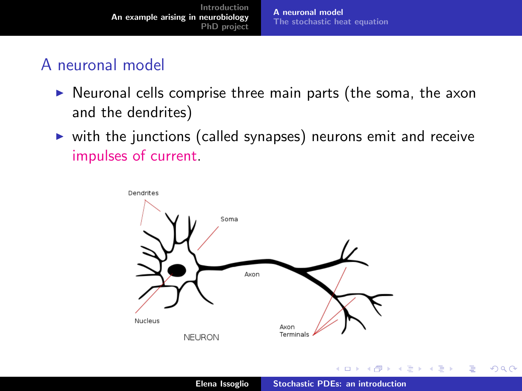[Introduction](#page-2-0) [An example arising in neurobiology](#page-11-0) [PhD project](#page-21-0) [A neuronal model](#page-12-0) [The stochastic heat equation](#page-16-0)

## <span id="page-12-0"></span>A neuronal model

- $\triangleright$  Neuronal cells comprise three main parts (the soma, the axon and the dendrites)
- $\triangleright$  with the junctions (called synapses) neurons emit and receive impulses of current.

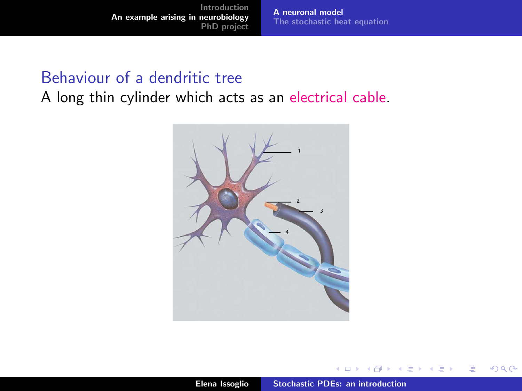[Introduction](#page-2-0) [An example arising in neurobiology](#page-11-0) [PhD project](#page-21-0)

[A neuronal model](#page-12-0) [The stochastic heat equation](#page-16-0)

#### Behaviour of a dendritic tree

A long thin cylinder which acts as an electrical cable.



**K ロ ト K 倒 ト K ミ ト** 

一 4 (重) 8

E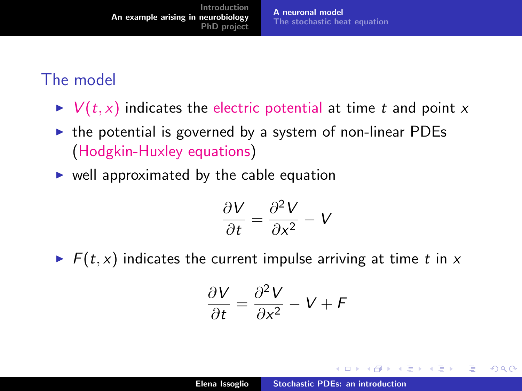## The model

- $\triangleright$   $V(t, x)$  indicates the electric potential at time t and point x
- $\triangleright$  the potential is governed by a system of non-linear PDEs (Hodgkin-Huxley equations)
- $\triangleright$  well approximated by the cable equation

$$
\frac{\partial V}{\partial t} = \frac{\partial^2 V}{\partial x^2} - V
$$

 $\blacktriangleright$   $F(t, x)$  indicates the current impulse arriving at time t in x

$$
\frac{\partial V}{\partial t} = \frac{\partial^2 V}{\partial x^2} - V + F
$$

メロメ メ母メ メミメメミメ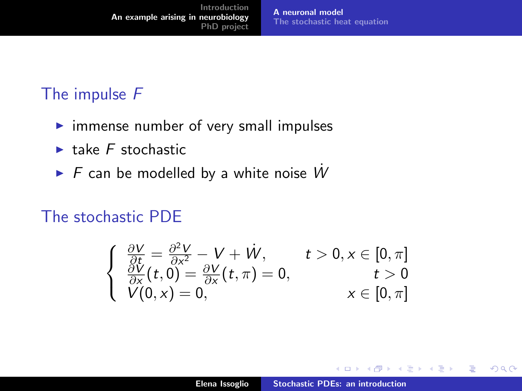## The impulse F

- $\triangleright$  immense number of very small impulses
- $\blacktriangleright$  take  $F$  stochastic
- $\triangleright$  F can be modelled by a white noise  $\dot{W}$

## The stochastic PDE

$$
\begin{cases}\n\frac{\partial V}{\partial t} = \frac{\partial^2 V}{\partial x^2} - V + \dot{W}, & t > 0, x \in [0, \pi] \\
\frac{\partial V}{\partial x}(t, 0) = \frac{\partial V}{\partial x}(t, \pi) = 0, & t > 0 \\
V(0, x) = 0, & x \in [0, \pi]\n\end{cases}
$$

K ロ ⊁ K 倒 ≯ K ミ ⊁ K ミ ⊁

 $2Q$ 

目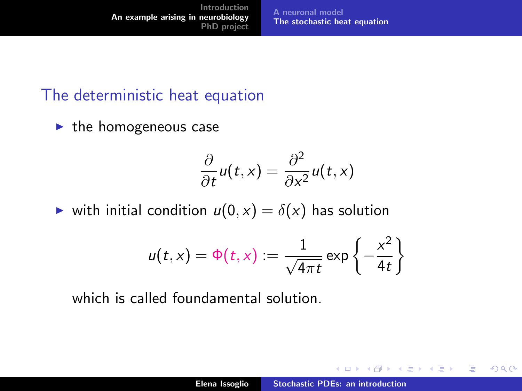<span id="page-16-0"></span>[Introduction](#page-2-0) [An example arising in neurobiology](#page-11-0) [PhD project](#page-21-0) [A neuronal model](#page-12-0) [The stochastic heat equation](#page-16-0)

#### The deterministic heat equation

 $\blacktriangleright$  the homogeneous case

$$
\frac{\partial}{\partial t}u(t,x)=\frac{\partial^2}{\partial x^2}u(t,x)
$$

ighthrow with initial condition  $u(0, x) = \delta(x)$  has solution

$$
u(t,x) = \Phi(t,x) := \frac{1}{\sqrt{4\pi t}} \exp\left\{-\frac{x^2}{4t}\right\}
$$

which is called foundamental solution.

イロメ イ部メ イヨメ イヨメー

重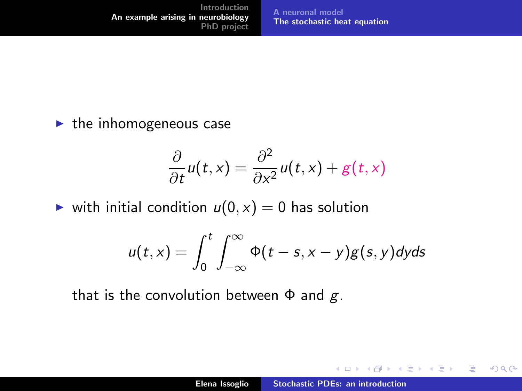$\blacktriangleright$  the inhomogeneous case

$$
\frac{\partial}{\partial t}u(t,x)=\frac{\partial^2}{\partial x^2}u(t,x)+g(t,x)
$$

ighthrow with initial condition  $u(0, x) = 0$  has solution

$$
u(t,x)=\int_0^t\int_{-\infty}^\infty \Phi(t-s,x-y)g(s,y)dyds
$$

that is the convolution between  $\Phi$  and  $g$ .

イロメ イ部メ イヨメ イヨメー

重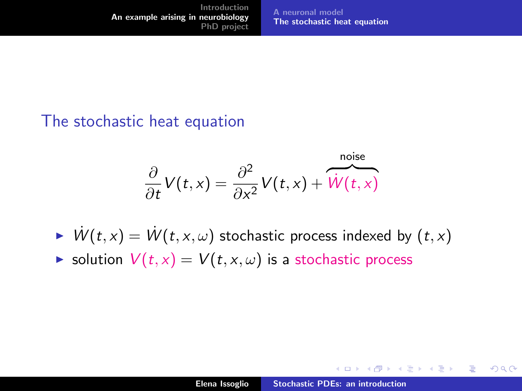#### The stochastic heat equation

$$
\frac{\partial}{\partial t}V(t,x) = \frac{\partial^2}{\partial x^2}V(t,x) + \overbrace{W(t,x)}^{\text{noise}}
$$

- $\triangleright$   $W(t, x) = W(t, x, \omega)$  stochastic process indexed by  $(t, x)$
- $\triangleright$  solution  $V(t, x) = V(t, x, \omega)$  is a stochastic process

a mills.

マーター マーティング

 $\Omega$ 

后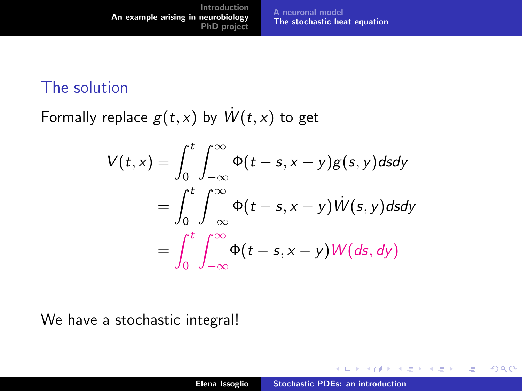#### The solution

Formally replace  $g(t, x)$  by  $W(t, x)$  to get

$$
V(t,x) = \int_0^t \int_{-\infty}^{\infty} \Phi(t-s,x-y)g(s,y)dsdy
$$
  
= 
$$
\int_0^t \int_{-\infty}^{\infty} \Phi(t-s,x-y)W(s,y)dsdy
$$
  
= 
$$
\int_0^t \int_{-\infty}^{\infty} \Phi(t-s,x-y)W(ds,dy)
$$

We have a stochastic integral!

a mills.

メタメメ ミメメ ミメ

重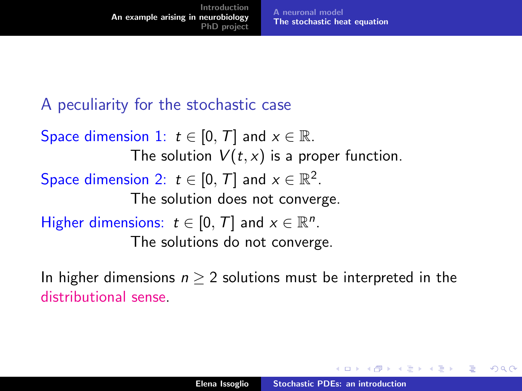## A peculiarity for the stochastic case

Space dimension 1:  $t \in [0, T]$  and  $x \in \mathbb{R}$ . The solution  $V(t, x)$  is a proper function. Space dimension 2:  $t \in [0, T]$  and  $x \in \mathbb{R}^2$ . The solution does not converge. Higher dimensions:  $t \in [0, T]$  and  $x \in \mathbb{R}^n$ . The solutions do not converge.

In higher dimensions  $n \geq 2$  solutions must be interpreted in the distributional sense.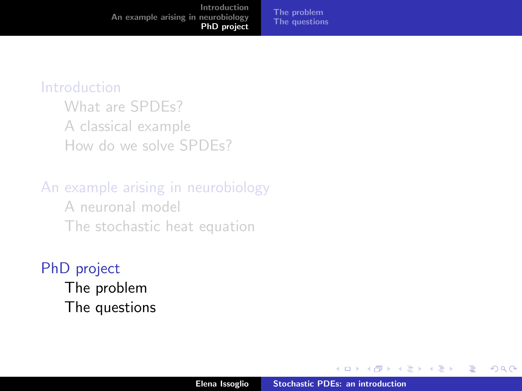<span id="page-21-0"></span>[Introduction](#page-2-0) [An example arising in neurobiology](#page-11-0) [PhD project](#page-21-0)

#### [The problem](#page-22-0) [The questions](#page-25-0)

#### [Introduction](#page-2-0)

[What are SPDEs?](#page-3-0) [A classical example](#page-6-0) [How do we solve SPDEs?](#page-9-0)

# [An example arising in neurobiology](#page-11-0) [A neuronal model](#page-12-0)

[The stochastic heat equation](#page-16-0)

## [PhD project](#page-21-0)

[The problem](#page-22-0) [The questions](#page-25-0)

 $4.171 +$ 

 $\leftarrow$   $\overline{m}$   $\rightarrow$ 

 $\rightarrow$   $\equiv$   $\rightarrow$ 

- 4 店)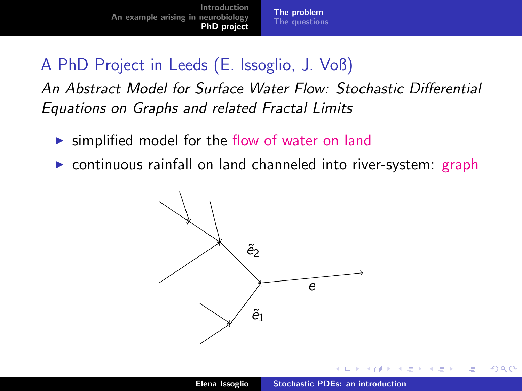## <span id="page-22-0"></span>A PhD Project in Leeds (E. Issoglio, J. Voß)

An Abstract Model for Surface Water Flow: Stochastic Differential Equations on Graphs and related Fractal Limits

- $\triangleright$  simplified model for the flow of water on land
- $\triangleright$  continuous rainfall on land channeled into river-system: graph



 $+$ 

 $\leftarrow$   $\overline{m}$   $\rightarrow$ 

つくい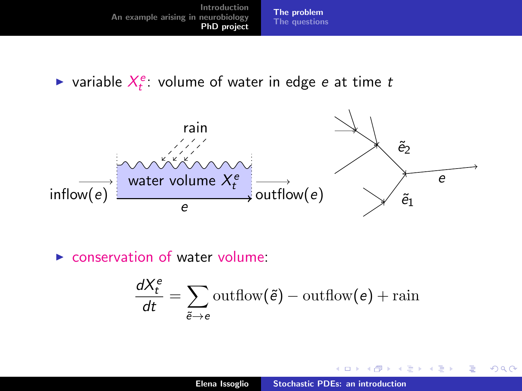ightharpoortanaller variable  $X_t^e$ : volume of water in edge e at time to



 $\triangleright$  conservation of water volume:

$$
\frac{dX_t^e}{dt} = \sum_{\tilde{e} \to e} \text{outflow}(\tilde{e}) - \text{outflow}(e) + \text{rain}
$$

**K ロ ト K 倒 ト K 走 ト** 

∢ 重→

扂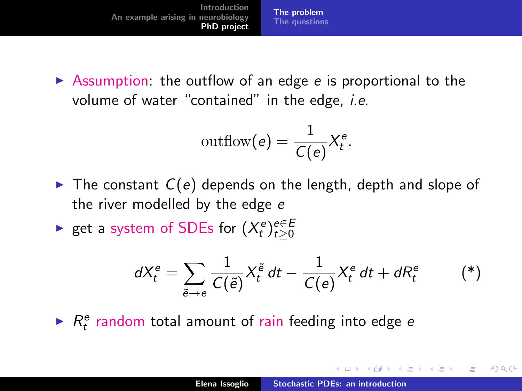$\triangleright$  Assumption: the outflow of an edge e is proportional to the volume of water "contained" in the edge, *i.e.* 

$$
\text{outflow}(e) = \frac{1}{C(e)} X_t^e.
$$

- $\triangleright$  The constant  $C(e)$  depends on the length, depth and slope of the river modelled by the edge e
- ► get a system of SDEs for  $(X_t^e)_{t\geq0}^{e\in E}$

<span id="page-24-0"></span>
$$
dX_t^e = \sum_{\tilde{e}\to e} \frac{1}{C(\tilde{e})} X_t^{\tilde{e}} dt - \frac{1}{C(e)} X_t^e dt + dR_t^e \qquad (*)
$$

 $\blacktriangleright$   $R_t^e$  random total amount of rain feeding into edge e

イロメ イ部メ イヨメ イヨメー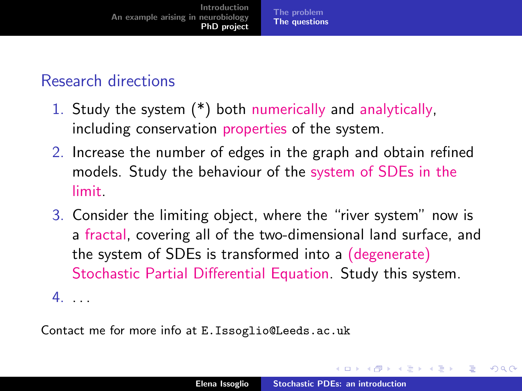## <span id="page-25-0"></span>Research directions

- 1. Study the system [\(\\*\)](#page-24-0) both numerically and analytically, including conservation properties of the system.
- 2. Increase the number of edges in the graph and obtain refined models. Study the behaviour of the system of SDEs in the limit.
- 3. Consider the limiting object, where the "river system" now is a fractal, covering all of the two-dimensional land surface, and the system of SDEs is transformed into a (degenerate) Stochastic Partial Differential Equation. Study this system.  $4. \ldots$

Contact me for more info at E.Issoglio@Leeds.ac.uk

イロメ イタメ イラメ イラメ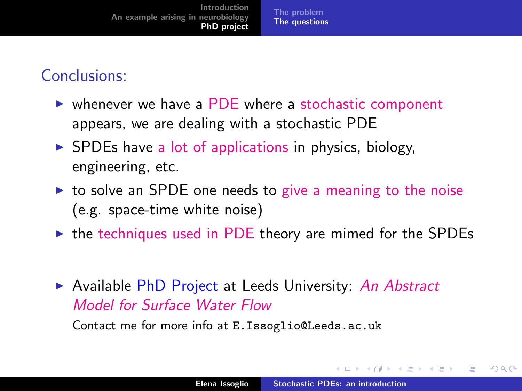### Conclusions:

- $\triangleright$  whenever we have a PDE where a stochastic component appears, we are dealing with a stochastic PDE
- $\triangleright$  SPDEs have a lot of applications in physics, biology, engineering, etc.
- $\triangleright$  to solve an SPDE one needs to give a meaning to the noise (e.g. space-time white noise)
- $\triangleright$  the techniques used in PDE theory are mimed for the SPDEs
- Available PhD Project at Leeds University: An Abstract Model for Surface Water Flow

Contact me for more info at E.Issoglio@Leeds.ac.uk

イロト イ母 トイラト イラト